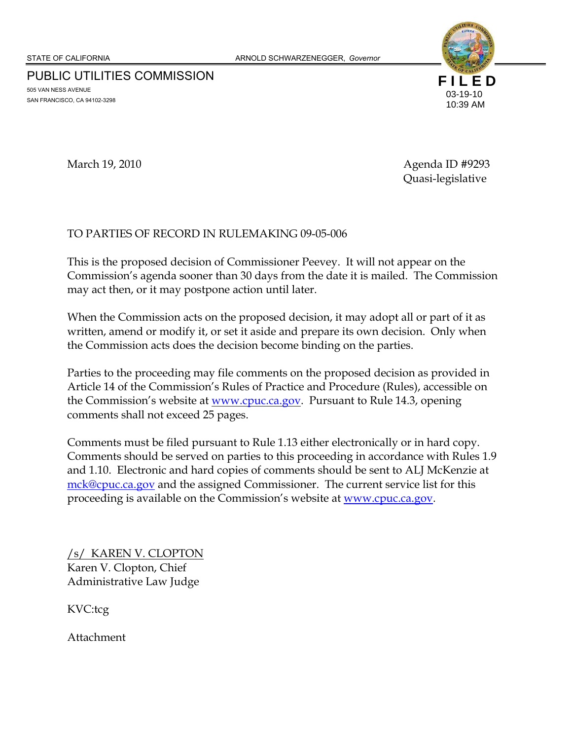PUBLIC UTILITIES COMMISSION 505 VAN NESS AVENUE SAN FRANCISCO, CA 94102-3298



March 19, 2010 **Agenda ID** #9293 Quasi-legislative

### TO PARTIES OF RECORD IN RULEMAKING 09-05-006

This is the proposed decision of Commissioner Peevey. It will not appear on the Commission's agenda sooner than 30 days from the date it is mailed. The Commission may act then, or it may postpone action until later.

When the Commission acts on the proposed decision, it may adopt all or part of it as written, amend or modify it, or set it aside and prepare its own decision. Only when the Commission acts does the decision become binding on the parties.

Parties to the proceeding may file comments on the proposed decision as provided in Article 14 of the Commission's Rules of Practice and Procedure (Rules), accessible on the Commission's website at www.cpuc.ca.gov. Pursuant to Rule 14.3, opening comments shall not exceed 25 pages.

Comments must be filed pursuant to Rule 1.13 either electronically or in hard copy. Comments should be served on parties to this proceeding in accordance with Rules 1.9 and 1.10. Electronic and hard copies of comments should be sent to ALJ McKenzie at mck@cpuc.ca.gov and the assigned Commissioner. The current service list for this proceeding is available on the Commission's website at www.cpuc.ca.gov.

/s/ KAREN V. CLOPTON Karen V. Clopton, Chief Administrative Law Judge

KVC:tcg

Attachment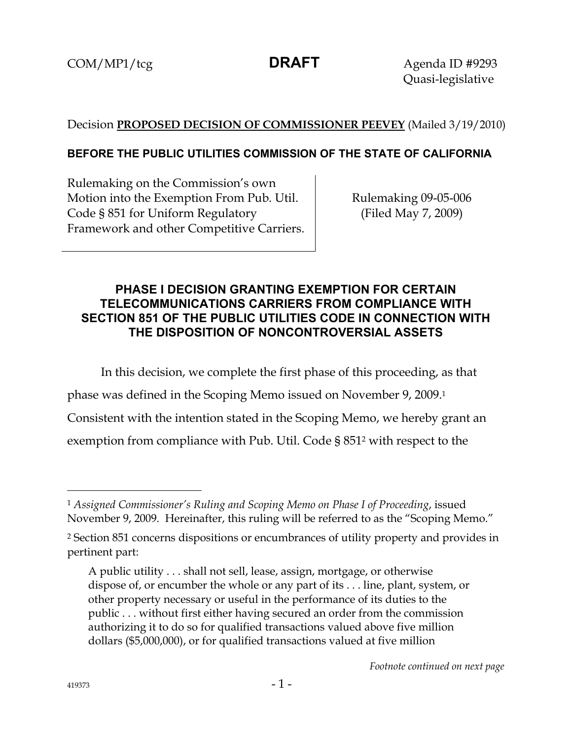COM/MP1/tcg **DRAFT** Agenda ID #9293 Quasi-legislative

# Decision **PROPOSED DECISION OF COMMISSIONER PEEVEY** (Mailed 3/19/2010)

# **BEFORE THE PUBLIC UTILITIES COMMISSION OF THE STATE OF CALIFORNIA**

Rulemaking on the Commission's own Motion into the Exemption From Pub. Util. Code § 851 for Uniform Regulatory Framework and other Competitive Carriers.

Rulemaking 09-05-006 (Filed May 7, 2009)

# **PHASE I DECISION GRANTING EXEMPTION FOR CERTAIN TELECOMMUNICATIONS CARRIERS FROM COMPLIANCE WITH SECTION 851 OF THE PUBLIC UTILITIES CODE IN CONNECTION WITH THE DISPOSITION OF NONCONTROVERSIAL ASSETS**

In this decision, we complete the first phase of this proceeding, as that

phase was defined in the Scoping Memo issued on November 9, 2009.1

Consistent with the intention stated in the Scoping Memo, we hereby grant an

exemption from compliance with Pub. Util. Code § 8512 with respect to the

-

<sup>1</sup> *Assigned Commissioner's Ruling and Scoping Memo on Phase I of Proceeding*, issued November 9, 2009. Hereinafter, this ruling will be referred to as the "Scoping Memo."

<sup>2</sup> Section 851 concerns dispositions or encumbrances of utility property and provides in pertinent part:

A public utility . . . shall not sell, lease, assign, mortgage, or otherwise dispose of, or encumber the whole or any part of its . . . line, plant, system, or other property necessary or useful in the performance of its duties to the public . . . without first either having secured an order from the commission authorizing it to do so for qualified transactions valued above five million dollars (\$5,000,000), or for qualified transactions valued at five million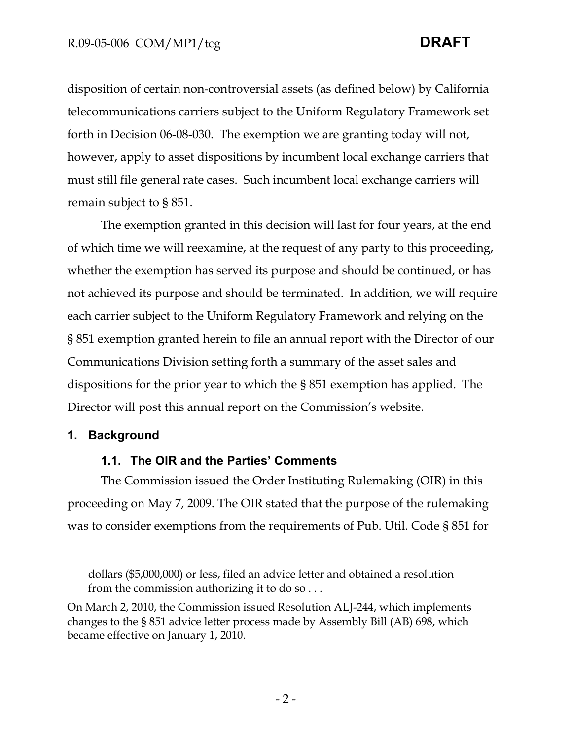disposition of certain non-controversial assets (as defined below) by California telecommunications carriers subject to the Uniform Regulatory Framework set forth in Decision 06-08-030. The exemption we are granting today will not, however, apply to asset dispositions by incumbent local exchange carriers that must still file general rate cases. Such incumbent local exchange carriers will remain subject to § 851.

The exemption granted in this decision will last for four years, at the end of which time we will reexamine, at the request of any party to this proceeding, whether the exemption has served its purpose and should be continued, or has not achieved its purpose and should be terminated. In addition, we will require each carrier subject to the Uniform Regulatory Framework and relying on the § 851 exemption granted herein to file an annual report with the Director of our Communications Division setting forth a summary of the asset sales and dispositions for the prior year to which the § 851 exemption has applied. The Director will post this annual report on the Commission's website.

# **1. Background**

 $\overline{a}$ 

## **1.1. The OIR and the Parties' Comments**

The Commission issued the Order Instituting Rulemaking (OIR) in this proceeding on May 7, 2009. The OIR stated that the purpose of the rulemaking was to consider exemptions from the requirements of Pub. Util. Code § 851 for

dollars (\$5,000,000) or less, filed an advice letter and obtained a resolution from the commission authorizing it to do so . . .

On March 2, 2010, the Commission issued Resolution ALJ-244, which implements changes to the § 851 advice letter process made by Assembly Bill (AB) 698, which became effective on January 1, 2010.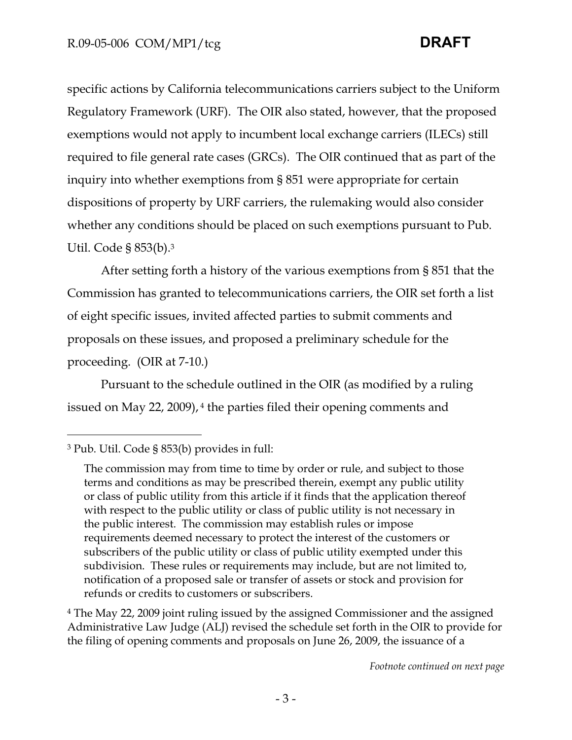specific actions by California telecommunications carriers subject to the Uniform Regulatory Framework (URF). The OIR also stated, however, that the proposed exemptions would not apply to incumbent local exchange carriers (ILECs) still required to file general rate cases (GRCs). The OIR continued that as part of the inquiry into whether exemptions from § 851 were appropriate for certain dispositions of property by URF carriers, the rulemaking would also consider whether any conditions should be placed on such exemptions pursuant to Pub. Util. Code § 853(b).3

After setting forth a history of the various exemptions from § 851 that the Commission has granted to telecommunications carriers, the OIR set forth a list of eight specific issues, invited affected parties to submit comments and proposals on these issues, and proposed a preliminary schedule for the proceeding. (OIR at 7-10.)

Pursuant to the schedule outlined in the OIR (as modified by a ruling issued on May 22, 2009), 4 the parties filed their opening comments and

# 3 Pub. Util. Code § 853(b) provides in full:

-

4 The May 22, 2009 joint ruling issued by the assigned Commissioner and the assigned Administrative Law Judge (ALJ) revised the schedule set forth in the OIR to provide for the filing of opening comments and proposals on June 26, 2009, the issuance of a

The commission may from time to time by order or rule, and subject to those terms and conditions as may be prescribed therein, exempt any public utility or class of public utility from this article if it finds that the application thereof with respect to the public utility or class of public utility is not necessary in the public interest. The commission may establish rules or impose requirements deemed necessary to protect the interest of the customers or subscribers of the public utility or class of public utility exempted under this subdivision. These rules or requirements may include, but are not limited to, notification of a proposed sale or transfer of assets or stock and provision for refunds or credits to customers or subscribers.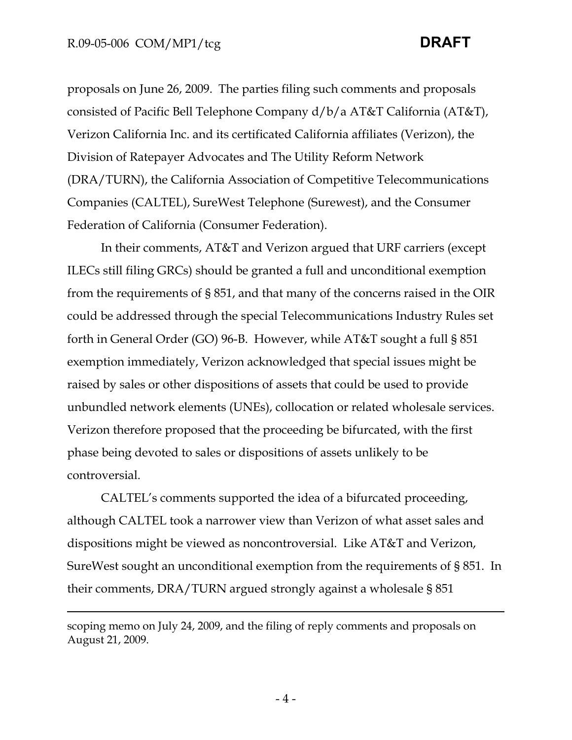$\overline{a}$ 

proposals on June 26, 2009. The parties filing such comments and proposals consisted of Pacific Bell Telephone Company d/b/a AT&T California (AT&T), Verizon California Inc. and its certificated California affiliates (Verizon), the Division of Ratepayer Advocates and The Utility Reform Network (DRA/TURN), the California Association of Competitive Telecommunications Companies (CALTEL), SureWest Telephone (Surewest), and the Consumer Federation of California (Consumer Federation).

In their comments, AT&T and Verizon argued that URF carriers (except ILECs still filing GRCs) should be granted a full and unconditional exemption from the requirements of § 851, and that many of the concerns raised in the OIR could be addressed through the special Telecommunications Industry Rules set forth in General Order (GO) 96-B. However, while AT&T sought a full § 851 exemption immediately, Verizon acknowledged that special issues might be raised by sales or other dispositions of assets that could be used to provide unbundled network elements (UNEs), collocation or related wholesale services. Verizon therefore proposed that the proceeding be bifurcated, with the first phase being devoted to sales or dispositions of assets unlikely to be controversial.

CALTEL's comments supported the idea of a bifurcated proceeding, although CALTEL took a narrower view than Verizon of what asset sales and dispositions might be viewed as noncontroversial. Like AT&T and Verizon, SureWest sought an unconditional exemption from the requirements of § 851. In their comments, DRA/TURN argued strongly against a wholesale § 851

scoping memo on July 24, 2009, and the filing of reply comments and proposals on August 21, 2009.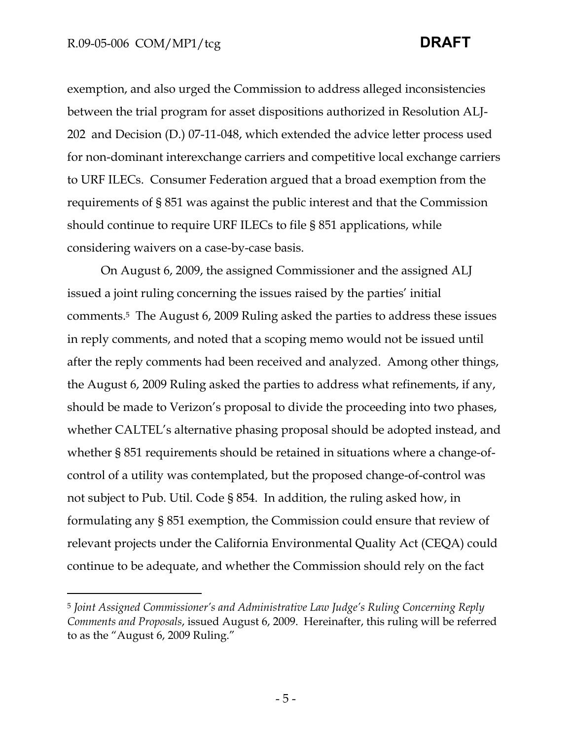# R.09-05-006 COM/MP1/tcg **DRAFT**

exemption, and also urged the Commission to address alleged inconsistencies between the trial program for asset dispositions authorized in Resolution ALJ-202 and Decision (D.) 07-11-048, which extended the advice letter process used for non-dominant interexchange carriers and competitive local exchange carriers to URF ILECs. Consumer Federation argued that a broad exemption from the requirements of § 851 was against the public interest and that the Commission should continue to require URF ILECs to file § 851 applications, while considering waivers on a case-by-case basis.

On August 6, 2009, the assigned Commissioner and the assigned ALJ issued a joint ruling concerning the issues raised by the parties' initial comments.5 The August 6, 2009 Ruling asked the parties to address these issues in reply comments, and noted that a scoping memo would not be issued until after the reply comments had been received and analyzed. Among other things, the August 6, 2009 Ruling asked the parties to address what refinements, if any, should be made to Verizon's proposal to divide the proceeding into two phases, whether CALTEL's alternative phasing proposal should be adopted instead, and whether § 851 requirements should be retained in situations where a change-ofcontrol of a utility was contemplated, but the proposed change-of-control was not subject to Pub. Util. Code § 854. In addition, the ruling asked how, in formulating any § 851 exemption, the Commission could ensure that review of relevant projects under the California Environmental Quality Act (CEQA) could continue to be adequate, and whether the Commission should rely on the fact

<sup>5</sup> *Joint Assigned Commissioner's and Administrative Law Judge's Ruling Concerning Reply Comments and Proposals*, issued August 6, 2009. Hereinafter, this ruling will be referred to as the "August 6, 2009 Ruling."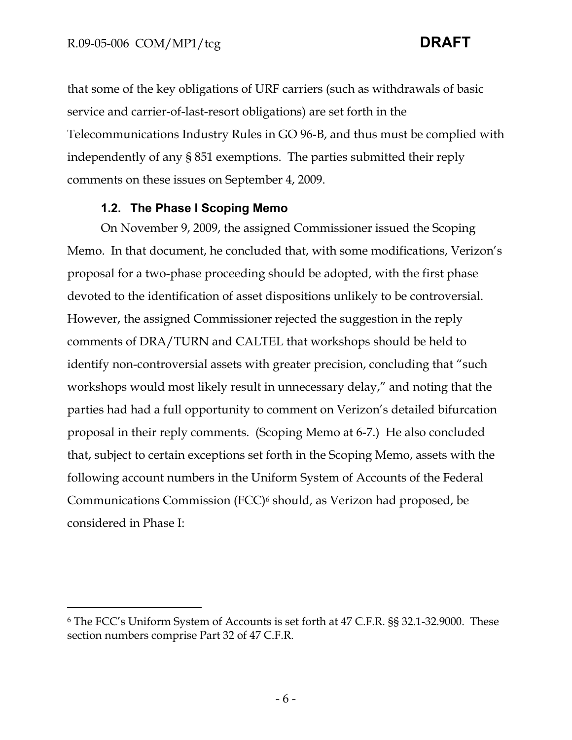$\overline{a}$ 

that some of the key obligations of URF carriers (such as withdrawals of basic service and carrier-of-last-resort obligations) are set forth in the Telecommunications Industry Rules in GO 96-B, and thus must be complied with independently of any § 851 exemptions. The parties submitted their reply comments on these issues on September 4, 2009.

### **1.2. The Phase I Scoping Memo**

On November 9, 2009, the assigned Commissioner issued the Scoping Memo. In that document, he concluded that, with some modifications, Verizon's proposal for a two-phase proceeding should be adopted, with the first phase devoted to the identification of asset dispositions unlikely to be controversial. However, the assigned Commissioner rejected the suggestion in the reply comments of DRA/TURN and CALTEL that workshops should be held to identify non-controversial assets with greater precision, concluding that "such workshops would most likely result in unnecessary delay," and noting that the parties had had a full opportunity to comment on Verizon's detailed bifurcation proposal in their reply comments. (Scoping Memo at 6-7.) He also concluded that, subject to certain exceptions set forth in the Scoping Memo, assets with the following account numbers in the Uniform System of Accounts of the Federal Communications Commission (FCC)6 should, as Verizon had proposed, be considered in Phase I:

<sup>6</sup> The FCC's Uniform System of Accounts is set forth at 47 C.F.R. §§ 32.1-32.9000. These section numbers comprise Part 32 of 47 C.F.R.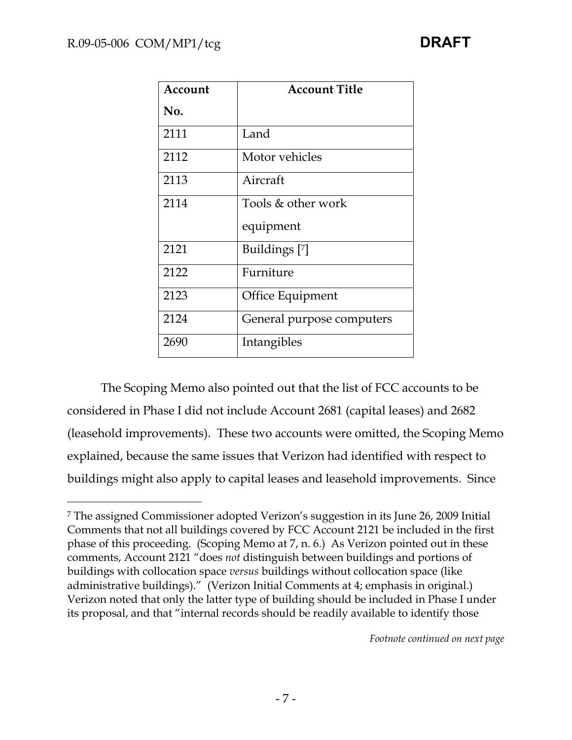| Account | <b>Account Title</b>      |
|---------|---------------------------|
| No.     |                           |
| 2111    | Land                      |
| 2112    | Motor vehicles            |
| 2113    | Aircraft                  |
| 2114    | Tools & other work        |
|         | equipment                 |
| 2121    | Buildings [7]             |
| 2122    | Furniture                 |
| 2123    | Office Equipment          |
| 2124    | General purpose computers |
| 2690    | Intangibles               |

The Scoping Memo also pointed out that the list of FCC accounts to be considered in Phase I did not include Account 2681 (capital leases) and 2682 (leasehold improvements). These two accounts were omitted, the Scoping Memo explained, because the same issues that Verizon had identified with respect to buildings might also apply to capital leases and leasehold improvements. Since

*Footnote continued on next page*

<sup>-</sup>7 The assigned Commissioner adopted Verizon's suggestion in its June 26, 2009 Initial Comments that not all buildings covered by FCC Account 2121 be included in the first phase of this proceeding. (Scoping Memo at 7, n. 6.) As Verizon pointed out in these comments, Account 2121 "does *not* distinguish between buildings and portions of buildings with collocation space *versus* buildings without collocation space (like administrative buildings)." (Verizon Initial Comments at 4; emphasis in original.) Verizon noted that only the latter type of building should be included in Phase I under its proposal, and that "internal records should be readily available to identify those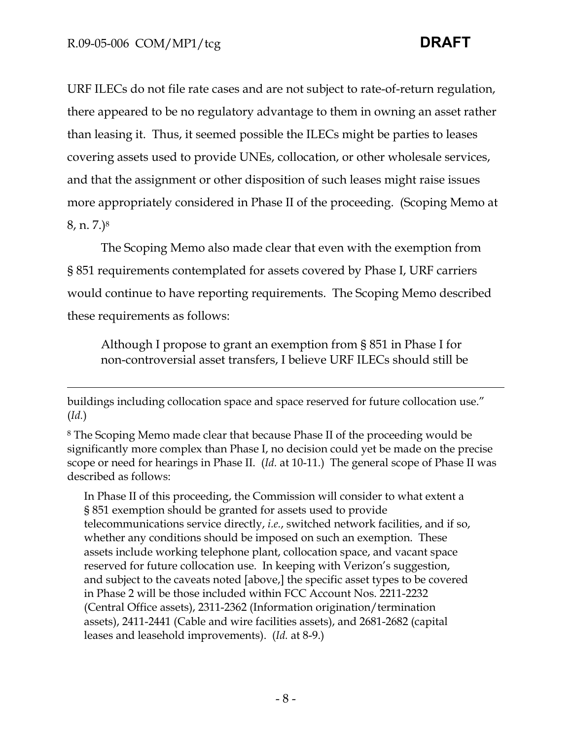-

URF ILECs do not file rate cases and are not subject to rate-of-return regulation, there appeared to be no regulatory advantage to them in owning an asset rather than leasing it. Thus, it seemed possible the ILECs might be parties to leases covering assets used to provide UNEs, collocation, or other wholesale services, and that the assignment or other disposition of such leases might raise issues more appropriately considered in Phase II of the proceeding. (Scoping Memo at 8, n. 7.)8

The Scoping Memo also made clear that even with the exemption from § 851 requirements contemplated for assets covered by Phase I, URF carriers would continue to have reporting requirements. The Scoping Memo described these requirements as follows:

Although I propose to grant an exemption from § 851 in Phase I for non-controversial asset transfers, I believe URF ILECs should still be

In Phase II of this proceeding, the Commission will consider to what extent a § 851 exemption should be granted for assets used to provide telecommunications service directly, *i.e.*, switched network facilities, and if so, whether any conditions should be imposed on such an exemption. These assets include working telephone plant, collocation space, and vacant space reserved for future collocation use. In keeping with Verizon's suggestion, and subject to the caveats noted [above,] the specific asset types to be covered in Phase 2 will be those included within FCC Account Nos. 2211-2232 (Central Office assets), 2311-2362 (Information origination/termination assets), 2411-2441 (Cable and wire facilities assets), and 2681-2682 (capital leases and leasehold improvements). (*Id.* at 8-9.)

buildings including collocation space and space reserved for future collocation use." (*Id.*)

<sup>8</sup> The Scoping Memo made clear that because Phase II of the proceeding would be significantly more complex than Phase I, no decision could yet be made on the precise scope or need for hearings in Phase II. (*Id.* at 10-11.) The general scope of Phase II was described as follows: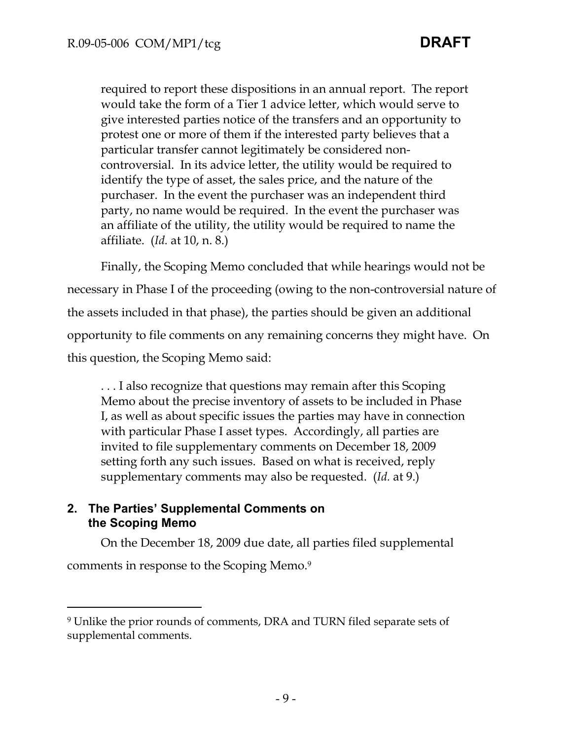required to report these dispositions in an annual report. The report would take the form of a Tier 1 advice letter, which would serve to give interested parties notice of the transfers and an opportunity to protest one or more of them if the interested party believes that a particular transfer cannot legitimately be considered noncontroversial. In its advice letter, the utility would be required to identify the type of asset, the sales price, and the nature of the purchaser. In the event the purchaser was an independent third party, no name would be required. In the event the purchaser was an affiliate of the utility, the utility would be required to name the affiliate. (*Id.* at 10, n. 8.)

Finally, the Scoping Memo concluded that while hearings would not be necessary in Phase I of the proceeding (owing to the non-controversial nature of the assets included in that phase), the parties should be given an additional opportunity to file comments on any remaining concerns they might have. On this question, the Scoping Memo said:

. . . I also recognize that questions may remain after this Scoping Memo about the precise inventory of assets to be included in Phase I, as well as about specific issues the parties may have in connection with particular Phase I asset types. Accordingly, all parties are invited to file supplementary comments on December 18, 2009 setting forth any such issues. Based on what is received, reply supplementary comments may also be requested. (*Id.* at 9.)

# **2. The Parties' Supplemental Comments on the Scoping Memo**

 $\overline{a}$ 

On the December 18, 2009 due date, all parties filed supplemental comments in response to the Scoping Memo.9

<sup>9</sup> Unlike the prior rounds of comments, DRA and TURN filed separate sets of supplemental comments.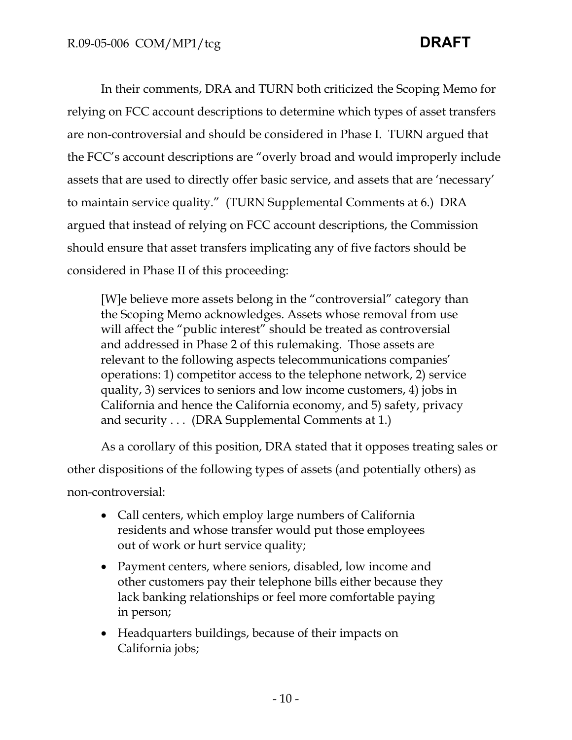In their comments, DRA and TURN both criticized the Scoping Memo for relying on FCC account descriptions to determine which types of asset transfers are non-controversial and should be considered in Phase I. TURN argued that the FCC's account descriptions are "overly broad and would improperly include assets that are used to directly offer basic service, and assets that are 'necessary' to maintain service quality." (TURN Supplemental Comments at 6.) DRA argued that instead of relying on FCC account descriptions, the Commission should ensure that asset transfers implicating any of five factors should be considered in Phase II of this proceeding:

[W]e believe more assets belong in the "controversial" category than the Scoping Memo acknowledges. Assets whose removal from use will affect the "public interest" should be treated as controversial and addressed in Phase 2 of this rulemaking. Those assets are relevant to the following aspects telecommunications companies' operations: 1) competitor access to the telephone network, 2) service quality, 3) services to seniors and low income customers, 4) jobs in California and hence the California economy, and 5) safety, privacy and security . . . (DRA Supplemental Comments at 1.)

As a corollary of this position, DRA stated that it opposes treating sales or other dispositions of the following types of assets (and potentially others) as non-controversial:

- Call centers, which employ large numbers of California residents and whose transfer would put those employees out of work or hurt service quality;
- Payment centers, where seniors, disabled, low income and other customers pay their telephone bills either because they lack banking relationships or feel more comfortable paying in person;
- Headquarters buildings, because of their impacts on California jobs;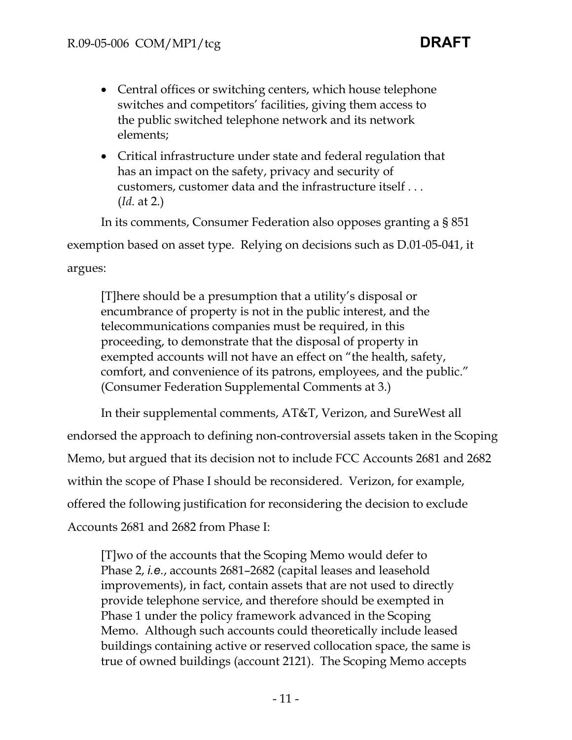- Central offices or switching centers, which house telephone switches and competitors' facilities, giving them access to the public switched telephone network and its network elements;
- Critical infrastructure under state and federal regulation that has an impact on the safety, privacy and security of customers, customer data and the infrastructure itself . . . (*Id.* at 2.)

In its comments, Consumer Federation also opposes granting a § 851 exemption based on asset type. Relying on decisions such as D.01-05-041, it argues:

[T]here should be a presumption that a utility's disposal or encumbrance of property is not in the public interest, and the telecommunications companies must be required, in this proceeding, to demonstrate that the disposal of property in exempted accounts will not have an effect on "the health, safety, comfort, and convenience of its patrons, employees, and the public." (Consumer Federation Supplemental Comments at 3.)

In their supplemental comments, AT&T, Verizon, and SureWest all endorsed the approach to defining non-controversial assets taken in the Scoping Memo, but argued that its decision not to include FCC Accounts 2681 and 2682 within the scope of Phase I should be reconsidered. Verizon, for example, offered the following justification for reconsidering the decision to exclude Accounts 2681 and 2682 from Phase I:

[T]wo of the accounts that the Scoping Memo would defer to Phase 2, *i.e.*, accounts 2681–2682 (capital leases and leasehold improvements), in fact, contain assets that are not used to directly provide telephone service, and therefore should be exempted in Phase 1 under the policy framework advanced in the Scoping Memo. Although such accounts could theoretically include leased buildings containing active or reserved collocation space, the same is true of owned buildings (account 2121). The Scoping Memo accepts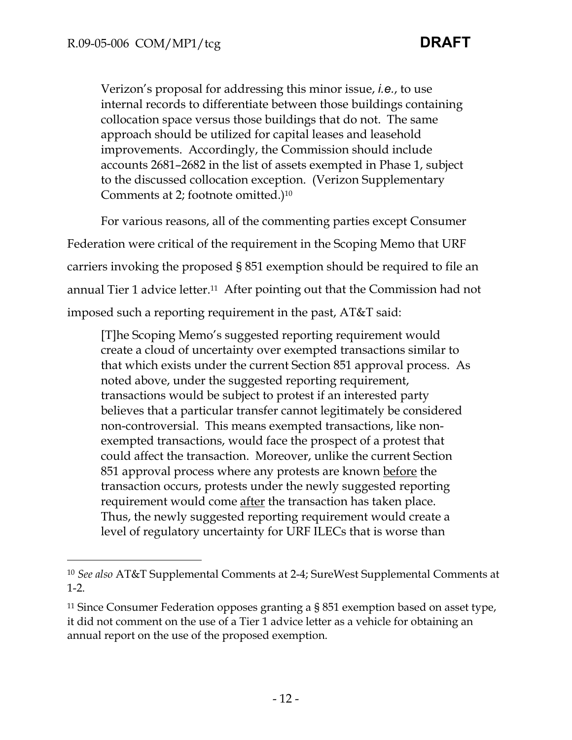-

Verizon's proposal for addressing this minor issue, *i.e.*, to use internal records to differentiate between those buildings containing collocation space versus those buildings that do not. The same approach should be utilized for capital leases and leasehold improvements. Accordingly, the Commission should include accounts 2681–2682 in the list of assets exempted in Phase 1, subject to the discussed collocation exception. (Verizon Supplementary Comments at 2; footnote omitted.)10

For various reasons, all of the commenting parties except Consumer Federation were critical of the requirement in the Scoping Memo that URF carriers invoking the proposed § 851 exemption should be required to file an annual Tier 1 advice letter.11 After pointing out that the Commission had not imposed such a reporting requirement in the past, AT&T said:

[T]he Scoping Memo's suggested reporting requirement would create a cloud of uncertainty over exempted transactions similar to that which exists under the current Section 851 approval process. As noted above, under the suggested reporting requirement, transactions would be subject to protest if an interested party believes that a particular transfer cannot legitimately be considered non-controversial. This means exempted transactions, like nonexempted transactions, would face the prospect of a protest that could affect the transaction. Moreover, unlike the current Section 851 approval process where any protests are known before the transaction occurs, protests under the newly suggested reporting requirement would come after the transaction has taken place. Thus, the newly suggested reporting requirement would create a level of regulatory uncertainty for URF ILECs that is worse than

<sup>10</sup> *See also* AT&T Supplemental Comments at 2-4; SureWest Supplemental Comments at 1-2.

<sup>11</sup> Since Consumer Federation opposes granting a § 851 exemption based on asset type, it did not comment on the use of a Tier 1 advice letter as a vehicle for obtaining an annual report on the use of the proposed exemption.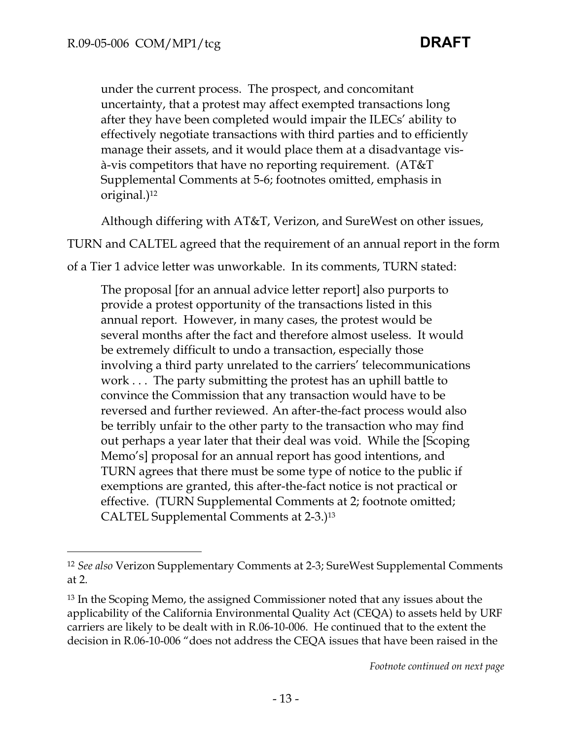under the current process. The prospect, and concomitant uncertainty, that a protest may affect exempted transactions long after they have been completed would impair the ILECs' ability to effectively negotiate transactions with third parties and to efficiently manage their assets, and it would place them at a disadvantage visà-vis competitors that have no reporting requirement. (AT&T Supplemental Comments at 5-6; footnotes omitted, emphasis in original.)12

Although differing with AT&T, Verizon, and SureWest on other issues,

TURN and CALTEL agreed that the requirement of an annual report in the form

of a Tier 1 advice letter was unworkable. In its comments, TURN stated:

The proposal [for an annual advice letter report] also purports to provide a protest opportunity of the transactions listed in this annual report. However, in many cases, the protest would be several months after the fact and therefore almost useless. It would be extremely difficult to undo a transaction, especially those involving a third party unrelated to the carriers' telecommunications work . . . The party submitting the protest has an uphill battle to convince the Commission that any transaction would have to be reversed and further reviewed. An after-the-fact process would also be terribly unfair to the other party to the transaction who may find out perhaps a year later that their deal was void. While the [Scoping Memo's] proposal for an annual report has good intentions, and TURN agrees that there must be some type of notice to the public if exemptions are granted, this after-the-fact notice is not practical or effective. (TURN Supplemental Comments at 2; footnote omitted; CALTEL Supplemental Comments at 2-3.)13

*Footnote continued on next page*

<sup>12</sup> *See also* Verizon Supplementary Comments at 2-3; SureWest Supplemental Comments at 2.

<sup>13</sup> In the Scoping Memo, the assigned Commissioner noted that any issues about the applicability of the California Environmental Quality Act (CEQA) to assets held by URF carriers are likely to be dealt with in R.06-10-006. He continued that to the extent the decision in R.06-10-006 "does not address the CEQA issues that have been raised in the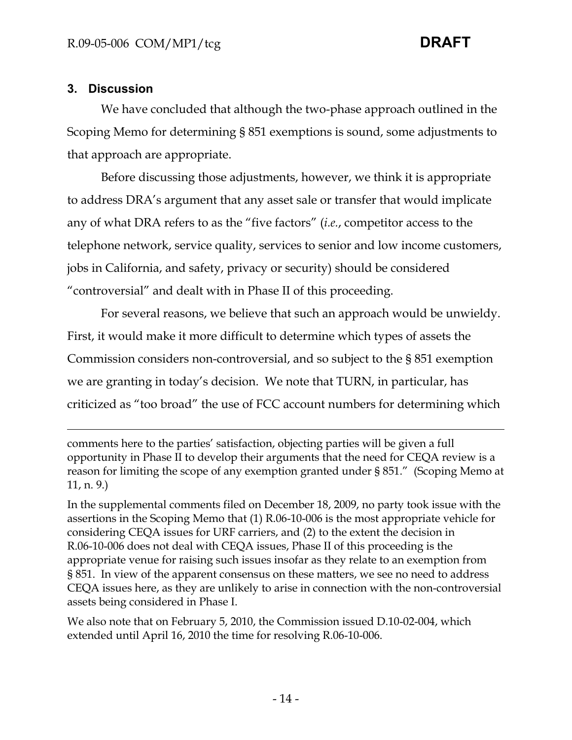# **3. Discussion**

 $\overline{a}$ 

We have concluded that although the two-phase approach outlined in the Scoping Memo for determining § 851 exemptions is sound, some adjustments to that approach are appropriate.

Before discussing those adjustments, however, we think it is appropriate to address DRA's argument that any asset sale or transfer that would implicate any of what DRA refers to as the "five factors" (*i.e.*, competitor access to the telephone network, service quality, services to senior and low income customers, jobs in California, and safety, privacy or security) should be considered "controversial" and dealt with in Phase II of this proceeding.

For several reasons, we believe that such an approach would be unwieldy. First, it would make it more difficult to determine which types of assets the Commission considers non-controversial, and so subject to the § 851 exemption we are granting in today's decision. We note that TURN, in particular, has criticized as "too broad" the use of FCC account numbers for determining which

comments here to the parties' satisfaction, objecting parties will be given a full opportunity in Phase II to develop their arguments that the need for CEQA review is a reason for limiting the scope of any exemption granted under § 851." (Scoping Memo at 11, n. 9.)

In the supplemental comments filed on December 18, 2009, no party took issue with the assertions in the Scoping Memo that (1) R.06-10-006 is the most appropriate vehicle for considering CEQA issues for URF carriers, and (2) to the extent the decision in R.06-10-006 does not deal with CEQA issues, Phase II of this proceeding is the appropriate venue for raising such issues insofar as they relate to an exemption from § 851. In view of the apparent consensus on these matters, we see no need to address CEQA issues here, as they are unlikely to arise in connection with the non-controversial assets being considered in Phase I.

We also note that on February 5, 2010, the Commission issued D.10-02-004, which extended until April 16, 2010 the time for resolving R.06-10-006.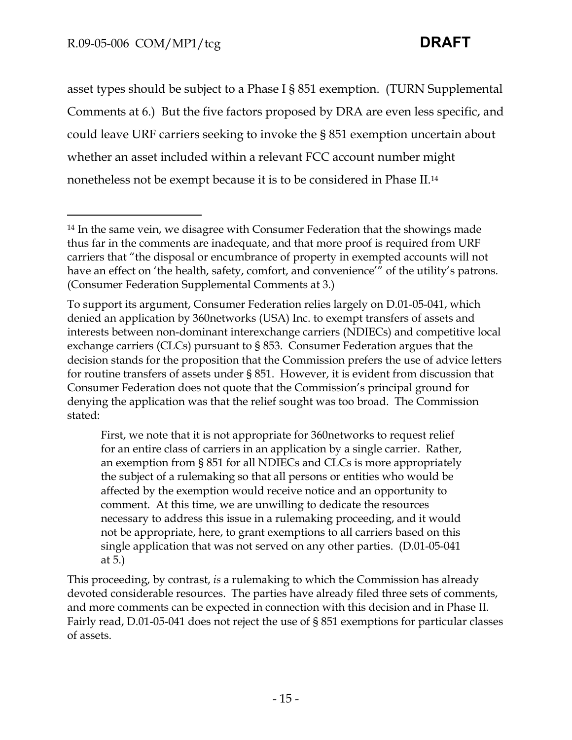$\overline{a}$ 

asset types should be subject to a Phase I § 851 exemption. (TURN Supplemental Comments at 6.) But the five factors proposed by DRA are even less specific, and could leave URF carriers seeking to invoke the § 851 exemption uncertain about whether an asset included within a relevant FCC account number might nonetheless not be exempt because it is to be considered in Phase II.14

First, we note that it is not appropriate for 360networks to request relief for an entire class of carriers in an application by a single carrier. Rather, an exemption from § 851 for all NDIECs and CLCs is more appropriately the subject of a rulemaking so that all persons or entities who would be affected by the exemption would receive notice and an opportunity to comment. At this time, we are unwilling to dedicate the resources necessary to address this issue in a rulemaking proceeding, and it would not be appropriate, here, to grant exemptions to all carriers based on this single application that was not served on any other parties. (D.01-05-041 at 5.)

This proceeding, by contrast, *is* a rulemaking to which the Commission has already devoted considerable resources. The parties have already filed three sets of comments, and more comments can be expected in connection with this decision and in Phase II. Fairly read, D.01-05-041 does not reject the use of § 851 exemptions for particular classes of assets.

<sup>14</sup> In the same vein, we disagree with Consumer Federation that the showings made thus far in the comments are inadequate, and that more proof is required from URF carriers that "the disposal or encumbrance of property in exempted accounts will not have an effect on 'the health, safety, comfort, and convenience'" of the utility's patrons. (Consumer Federation Supplemental Comments at 3.)

To support its argument, Consumer Federation relies largely on D.01-05-041, which denied an application by 360networks (USA) Inc. to exempt transfers of assets and interests between non-dominant interexchange carriers (NDIECs) and competitive local exchange carriers (CLCs) pursuant to § 853. Consumer Federation argues that the decision stands for the proposition that the Commission prefers the use of advice letters for routine transfers of assets under § 851. However, it is evident from discussion that Consumer Federation does not quote that the Commission's principal ground for denying the application was that the relief sought was too broad. The Commission stated: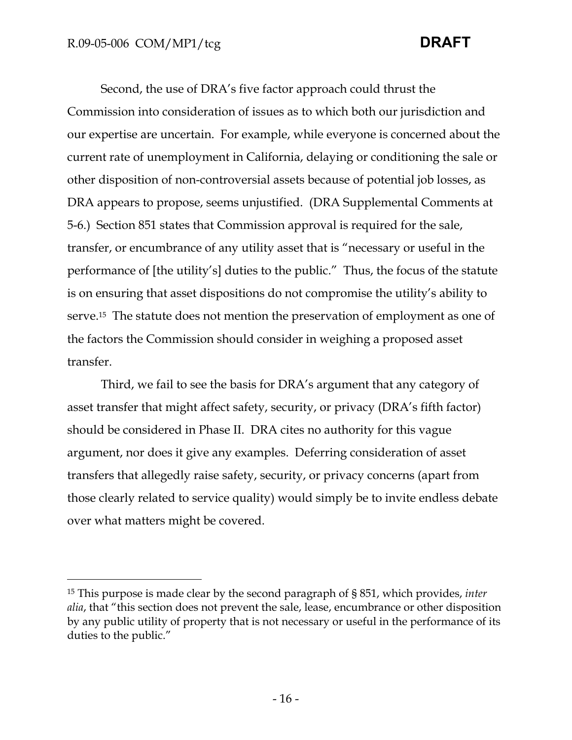-

Second, the use of DRA's five factor approach could thrust the Commission into consideration of issues as to which both our jurisdiction and our expertise are uncertain. For example, while everyone is concerned about the current rate of unemployment in California, delaying or conditioning the sale or other disposition of non-controversial assets because of potential job losses, as DRA appears to propose, seems unjustified. (DRA Supplemental Comments at 5-6.) Section 851 states that Commission approval is required for the sale, transfer, or encumbrance of any utility asset that is "necessary or useful in the performance of [the utility's] duties to the public." Thus, the focus of the statute is on ensuring that asset dispositions do not compromise the utility's ability to serve.15 The statute does not mention the preservation of employment as one of the factors the Commission should consider in weighing a proposed asset transfer.

Third, we fail to see the basis for DRA's argument that any category of asset transfer that might affect safety, security, or privacy (DRA's fifth factor) should be considered in Phase II. DRA cites no authority for this vague argument, nor does it give any examples. Deferring consideration of asset transfers that allegedly raise safety, security, or privacy concerns (apart from those clearly related to service quality) would simply be to invite endless debate over what matters might be covered.

<sup>15</sup> This purpose is made clear by the second paragraph of § 851, which provides, *inter alia*, that "this section does not prevent the sale, lease, encumbrance or other disposition by any public utility of property that is not necessary or useful in the performance of its duties to the public."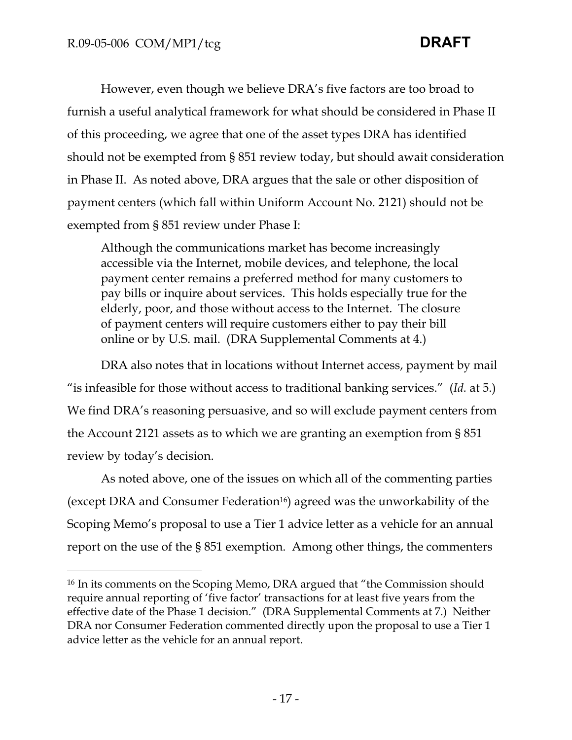-

However, even though we believe DRA's five factors are too broad to furnish a useful analytical framework for what should be considered in Phase II of this proceeding, we agree that one of the asset types DRA has identified should not be exempted from § 851 review today, but should await consideration in Phase II. As noted above, DRA argues that the sale or other disposition of payment centers (which fall within Uniform Account No. 2121) should not be exempted from § 851 review under Phase I:

Although the communications market has become increasingly accessible via the Internet, mobile devices, and telephone, the local payment center remains a preferred method for many customers to pay bills or inquire about services. This holds especially true for the elderly, poor, and those without access to the Internet. The closure of payment centers will require customers either to pay their bill online or by U.S. mail. (DRA Supplemental Comments at 4.)

DRA also notes that in locations without Internet access, payment by mail "is infeasible for those without access to traditional banking services." (*Id.* at 5.) We find DRA's reasoning persuasive, and so will exclude payment centers from the Account 2121 assets as to which we are granting an exemption from § 851 review by today's decision.

As noted above, one of the issues on which all of the commenting parties (except DRA and Consumer Federation16) agreed was the unworkability of the Scoping Memo's proposal to use a Tier 1 advice letter as a vehicle for an annual report on the use of the § 851 exemption. Among other things, the commenters

<sup>&</sup>lt;sup>16</sup> In its comments on the Scoping Memo, DRA argued that "the Commission should require annual reporting of 'five factor' transactions for at least five years from the effective date of the Phase 1 decision." (DRA Supplemental Comments at 7.) Neither DRA nor Consumer Federation commented directly upon the proposal to use a Tier 1 advice letter as the vehicle for an annual report.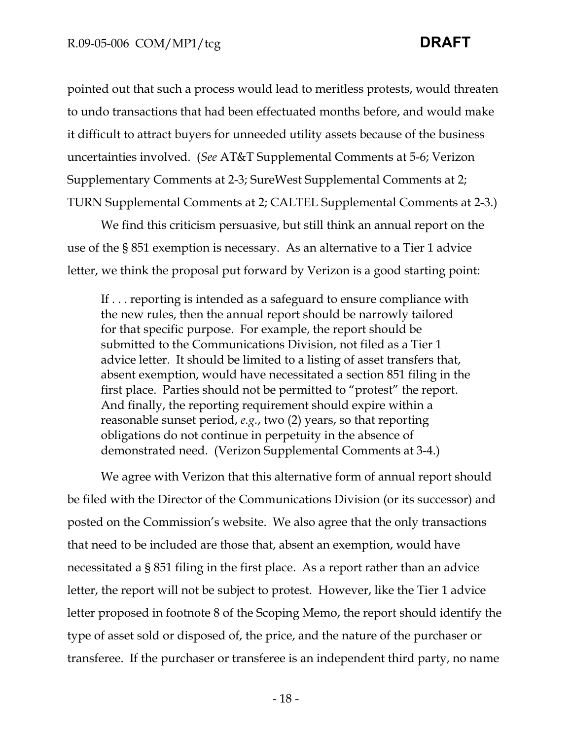pointed out that such a process would lead to meritless protests, would threaten to undo transactions that had been effectuated months before, and would make it difficult to attract buyers for unneeded utility assets because of the business uncertainties involved. (*See* AT&T Supplemental Comments at 5-6; Verizon Supplementary Comments at 2-3; SureWest Supplemental Comments at 2; TURN Supplemental Comments at 2; CALTEL Supplemental Comments at 2-3.)

We find this criticism persuasive, but still think an annual report on the use of the § 851 exemption is necessary. As an alternative to a Tier 1 advice letter, we think the proposal put forward by Verizon is a good starting point:

If . . . reporting is intended as a safeguard to ensure compliance with the new rules, then the annual report should be narrowly tailored for that specific purpose. For example, the report should be submitted to the Communications Division, not filed as a Tier 1 advice letter. It should be limited to a listing of asset transfers that, absent exemption, would have necessitated a section 851 filing in the first place. Parties should not be permitted to "protest" the report. And finally, the reporting requirement should expire within a reasonable sunset period, *e.g.*, two (2) years, so that reporting obligations do not continue in perpetuity in the absence of demonstrated need. (Verizon Supplemental Comments at 3-4.)

We agree with Verizon that this alternative form of annual report should be filed with the Director of the Communications Division (or its successor) and posted on the Commission's website. We also agree that the only transactions that need to be included are those that, absent an exemption, would have necessitated a § 851 filing in the first place. As a report rather than an advice letter, the report will not be subject to protest. However, like the Tier 1 advice letter proposed in footnote 8 of the Scoping Memo, the report should identify the type of asset sold or disposed of, the price, and the nature of the purchaser or transferee. If the purchaser or transferee is an independent third party, no name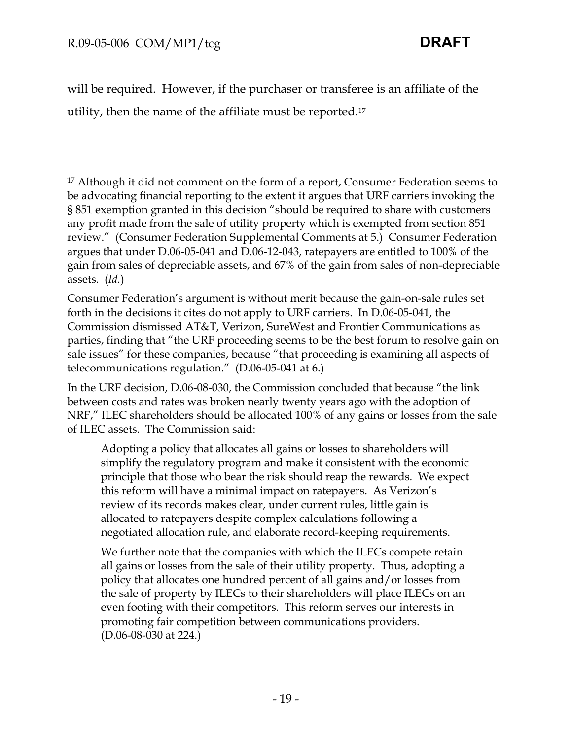$\overline{a}$ 

will be required. However, if the purchaser or transferee is an affiliate of the utility, then the name of the affiliate must be reported.17

Consumer Federation's argument is without merit because the gain-on-sale rules set forth in the decisions it cites do not apply to URF carriers. In D.06-05-041, the Commission dismissed AT&T, Verizon, SureWest and Frontier Communications as parties, finding that "the URF proceeding seems to be the best forum to resolve gain on sale issues" for these companies, because "that proceeding is examining all aspects of telecommunications regulation." (D.06-05-041 at 6.)

In the URF decision, D.06-08-030, the Commission concluded that because "the link between costs and rates was broken nearly twenty years ago with the adoption of NRF," ILEC shareholders should be allocated 100% of any gains or losses from the sale of ILEC assets. The Commission said:

Adopting a policy that allocates all gains or losses to shareholders will simplify the regulatory program and make it consistent with the economic principle that those who bear the risk should reap the rewards. We expect this reform will have a minimal impact on ratepayers. As Verizon's review of its records makes clear, under current rules, little gain is allocated to ratepayers despite complex calculations following a negotiated allocation rule, and elaborate record-keeping requirements.

We further note that the companies with which the ILECs compete retain all gains or losses from the sale of their utility property. Thus, adopting a policy that allocates one hundred percent of all gains and/or losses from the sale of property by ILECs to their shareholders will place ILECs on an even footing with their competitors. This reform serves our interests in promoting fair competition between communications providers. (D.06-08-030 at 224.)

<sup>&</sup>lt;sup>17</sup> Although it did not comment on the form of a report, Consumer Federation seems to be advocating financial reporting to the extent it argues that URF carriers invoking the § 851 exemption granted in this decision "should be required to share with customers any profit made from the sale of utility property which is exempted from section 851 review." (Consumer Federation Supplemental Comments at 5.) Consumer Federation argues that under D.06-05-041 and D.06-12-043, ratepayers are entitled to 100% of the gain from sales of depreciable assets, and 67% of the gain from sales of non-depreciable assets. (*Id.*)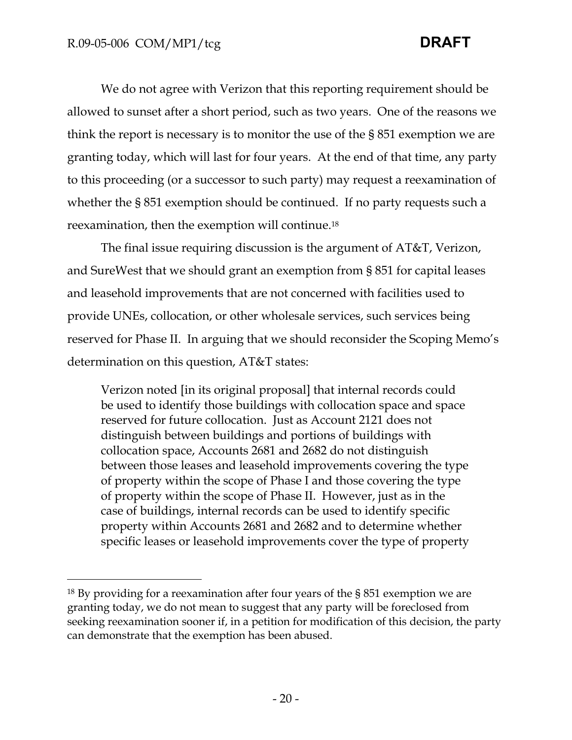$\overline{a}$ 

We do not agree with Verizon that this reporting requirement should be allowed to sunset after a short period, such as two years. One of the reasons we think the report is necessary is to monitor the use of the § 851 exemption we are granting today, which will last for four years. At the end of that time, any party to this proceeding (or a successor to such party) may request a reexamination of whether the § 851 exemption should be continued. If no party requests such a reexamination, then the exemption will continue.18

The final issue requiring discussion is the argument of AT&T, Verizon, and SureWest that we should grant an exemption from § 851 for capital leases and leasehold improvements that are not concerned with facilities used to provide UNEs, collocation, or other wholesale services, such services being reserved for Phase II. In arguing that we should reconsider the Scoping Memo's determination on this question, AT&T states:

Verizon noted [in its original proposal] that internal records could be used to identify those buildings with collocation space and space reserved for future collocation. Just as Account 2121 does not distinguish between buildings and portions of buildings with collocation space, Accounts 2681 and 2682 do not distinguish between those leases and leasehold improvements covering the type of property within the scope of Phase I and those covering the type of property within the scope of Phase II. However, just as in the case of buildings, internal records can be used to identify specific property within Accounts 2681 and 2682 and to determine whether specific leases or leasehold improvements cover the type of property

<sup>18</sup> By providing for a reexamination after four years of the § 851 exemption we are granting today, we do not mean to suggest that any party will be foreclosed from seeking reexamination sooner if, in a petition for modification of this decision, the party can demonstrate that the exemption has been abused.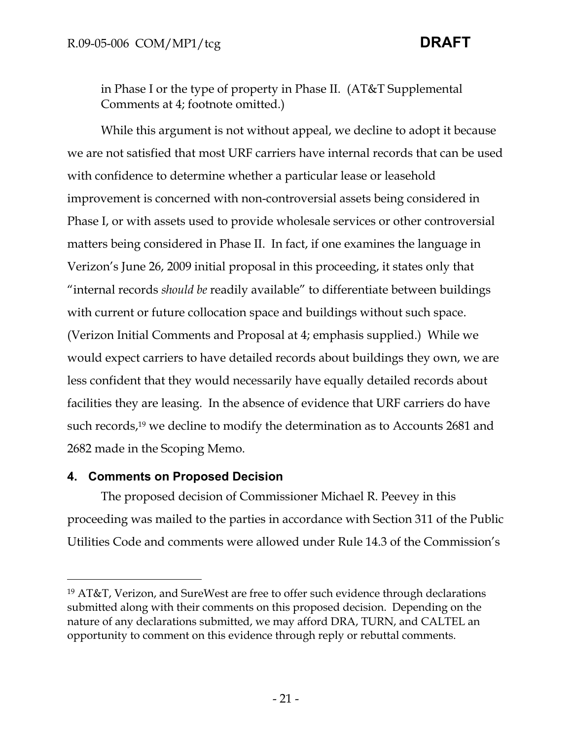in Phase I or the type of property in Phase II. (AT&T Supplemental Comments at 4; footnote omitted.)

While this argument is not without appeal, we decline to adopt it because we are not satisfied that most URF carriers have internal records that can be used with confidence to determine whether a particular lease or leasehold improvement is concerned with non-controversial assets being considered in Phase I, or with assets used to provide wholesale services or other controversial matters being considered in Phase II. In fact, if one examines the language in Verizon's June 26, 2009 initial proposal in this proceeding, it states only that "internal records *should be* readily available" to differentiate between buildings with current or future collocation space and buildings without such space. (Verizon Initial Comments and Proposal at 4; emphasis supplied.) While we would expect carriers to have detailed records about buildings they own, we are less confident that they would necessarily have equally detailed records about facilities they are leasing. In the absence of evidence that URF carriers do have such records,19 we decline to modify the determination as to Accounts 2681 and 2682 made in the Scoping Memo.

## **4. Comments on Proposed Decision**

-

The proposed decision of Commissioner Michael R. Peevey in this proceeding was mailed to the parties in accordance with Section 311 of the Public Utilities Code and comments were allowed under Rule 14.3 of the Commission's

<sup>19</sup> AT&T, Verizon, and SureWest are free to offer such evidence through declarations submitted along with their comments on this proposed decision. Depending on the nature of any declarations submitted, we may afford DRA, TURN, and CALTEL an opportunity to comment on this evidence through reply or rebuttal comments.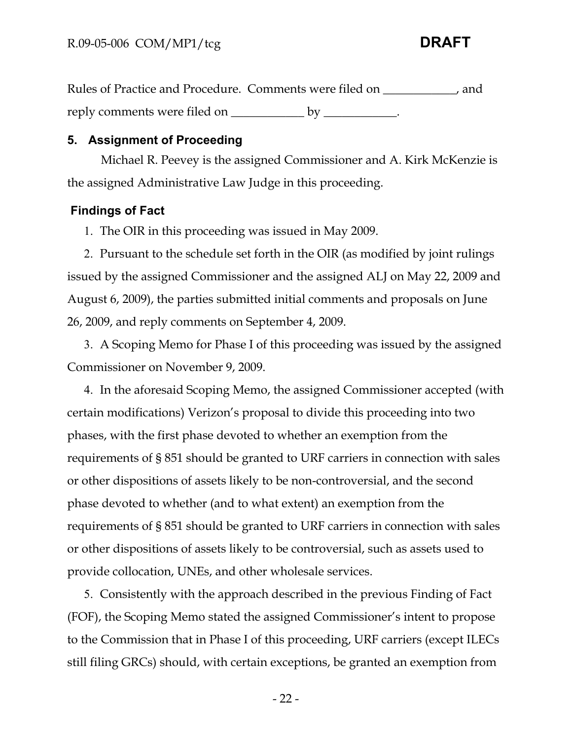Rules of Practice and Procedure. Comments were filed on \_\_\_\_\_\_\_\_\_\_\_\_, and reply comments were filed on \_\_\_\_\_\_\_\_\_\_\_\_\_ by \_\_\_\_\_\_\_\_\_\_\_.

# **5. Assignment of Proceeding**

Michael R. Peevey is the assigned Commissioner and A. Kirk McKenzie is the assigned Administrative Law Judge in this proceeding.

# **Findings of Fact**

1. The OIR in this proceeding was issued in May 2009.

2. Pursuant to the schedule set forth in the OIR (as modified by joint rulings issued by the assigned Commissioner and the assigned ALJ on May 22, 2009 and August 6, 2009), the parties submitted initial comments and proposals on June 26, 2009, and reply comments on September 4, 2009.

3. A Scoping Memo for Phase I of this proceeding was issued by the assigned Commissioner on November 9, 2009.

4. In the aforesaid Scoping Memo, the assigned Commissioner accepted (with certain modifications) Verizon's proposal to divide this proceeding into two phases, with the first phase devoted to whether an exemption from the requirements of § 851 should be granted to URF carriers in connection with sales or other dispositions of assets likely to be non-controversial, and the second phase devoted to whether (and to what extent) an exemption from the requirements of § 851 should be granted to URF carriers in connection with sales or other dispositions of assets likely to be controversial, such as assets used to provide collocation, UNEs, and other wholesale services.

5. Consistently with the approach described in the previous Finding of Fact (FOF), the Scoping Memo stated the assigned Commissioner's intent to propose to the Commission that in Phase I of this proceeding, URF carriers (except ILECs still filing GRCs) should, with certain exceptions, be granted an exemption from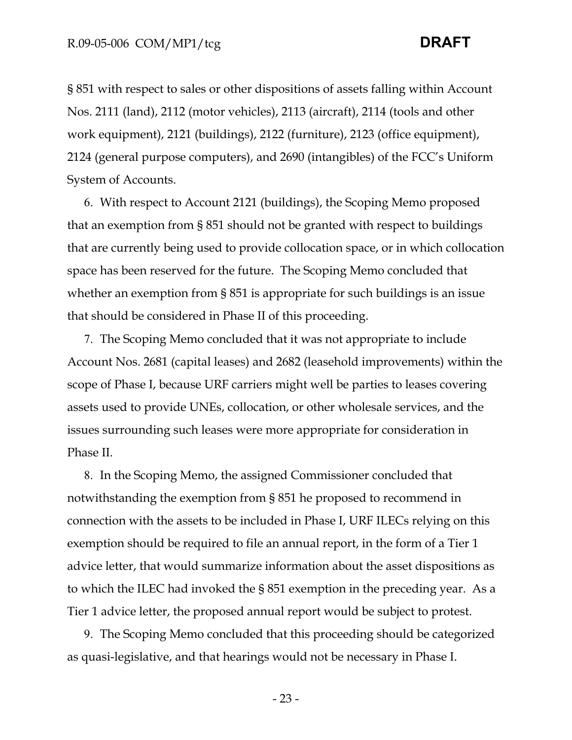§ 851 with respect to sales or other dispositions of assets falling within Account Nos. 2111 (land), 2112 (motor vehicles), 2113 (aircraft), 2114 (tools and other work equipment), 2121 (buildings), 2122 (furniture), 2123 (office equipment), 2124 (general purpose computers), and 2690 (intangibles) of the FCC's Uniform System of Accounts.

6. With respect to Account 2121 (buildings), the Scoping Memo proposed that an exemption from § 851 should not be granted with respect to buildings that are currently being used to provide collocation space, or in which collocation space has been reserved for the future. The Scoping Memo concluded that whether an exemption from § 851 is appropriate for such buildings is an issue that should be considered in Phase II of this proceeding.

7. The Scoping Memo concluded that it was not appropriate to include Account Nos. 2681 (capital leases) and 2682 (leasehold improvements) within the scope of Phase I, because URF carriers might well be parties to leases covering assets used to provide UNEs, collocation, or other wholesale services, and the issues surrounding such leases were more appropriate for consideration in Phase II.

8. In the Scoping Memo, the assigned Commissioner concluded that notwithstanding the exemption from § 851 he proposed to recommend in connection with the assets to be included in Phase I, URF ILECs relying on this exemption should be required to file an annual report, in the form of a Tier 1 advice letter, that would summarize information about the asset dispositions as to which the ILEC had invoked the § 851 exemption in the preceding year. As a Tier 1 advice letter, the proposed annual report would be subject to protest.

9. The Scoping Memo concluded that this proceeding should be categorized as quasi-legislative, and that hearings would not be necessary in Phase I.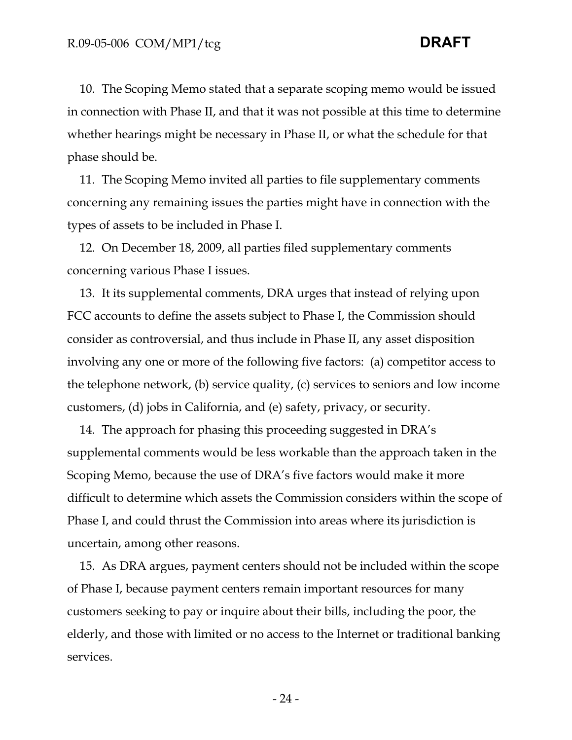10. The Scoping Memo stated that a separate scoping memo would be issued in connection with Phase II, and that it was not possible at this time to determine whether hearings might be necessary in Phase II, or what the schedule for that phase should be.

11. The Scoping Memo invited all parties to file supplementary comments concerning any remaining issues the parties might have in connection with the types of assets to be included in Phase I.

12. On December 18, 2009, all parties filed supplementary comments concerning various Phase I issues.

13. It its supplemental comments, DRA urges that instead of relying upon FCC accounts to define the assets subject to Phase I, the Commission should consider as controversial, and thus include in Phase II, any asset disposition involving any one or more of the following five factors: (a) competitor access to the telephone network, (b) service quality, (c) services to seniors and low income customers, (d) jobs in California, and (e) safety, privacy, or security.

14. The approach for phasing this proceeding suggested in DRA's supplemental comments would be less workable than the approach taken in the Scoping Memo, because the use of DRA's five factors would make it more difficult to determine which assets the Commission considers within the scope of Phase I, and could thrust the Commission into areas where its jurisdiction is uncertain, among other reasons.

15. As DRA argues, payment centers should not be included within the scope of Phase I, because payment centers remain important resources for many customers seeking to pay or inquire about their bills, including the poor, the elderly, and those with limited or no access to the Internet or traditional banking services.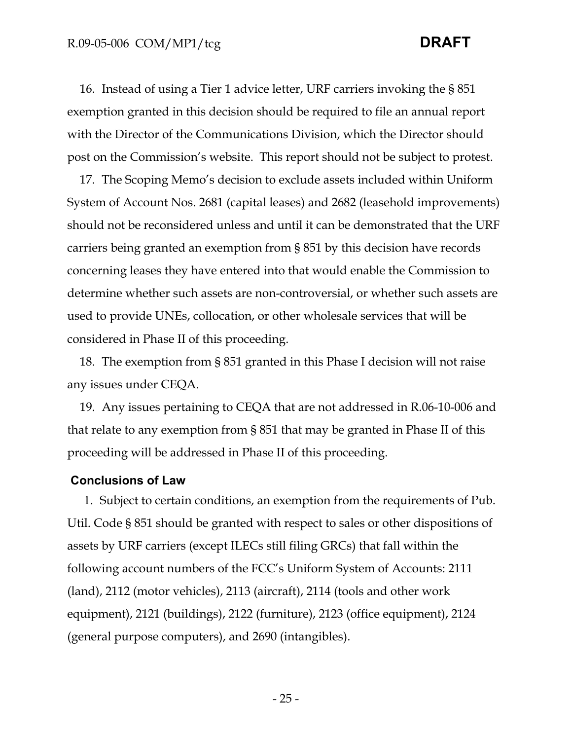16. Instead of using a Tier 1 advice letter, URF carriers invoking the § 851 exemption granted in this decision should be required to file an annual report with the Director of the Communications Division, which the Director should post on the Commission's website. This report should not be subject to protest.

17. The Scoping Memo's decision to exclude assets included within Uniform System of Account Nos. 2681 (capital leases) and 2682 (leasehold improvements) should not be reconsidered unless and until it can be demonstrated that the URF carriers being granted an exemption from § 851 by this decision have records concerning leases they have entered into that would enable the Commission to determine whether such assets are non-controversial, or whether such assets are used to provide UNEs, collocation, or other wholesale services that will be considered in Phase II of this proceeding.

18. The exemption from § 851 granted in this Phase I decision will not raise any issues under CEQA.

19. Any issues pertaining to CEQA that are not addressed in R.06-10-006 and that relate to any exemption from § 851 that may be granted in Phase II of this proceeding will be addressed in Phase II of this proceeding.

### **Conclusions of Law**

1. Subject to certain conditions, an exemption from the requirements of Pub. Util. Code § 851 should be granted with respect to sales or other dispositions of assets by URF carriers (except ILECs still filing GRCs) that fall within the following account numbers of the FCC's Uniform System of Accounts: 2111 (land), 2112 (motor vehicles), 2113 (aircraft), 2114 (tools and other work equipment), 2121 (buildings), 2122 (furniture), 2123 (office equipment), 2124 (general purpose computers), and 2690 (intangibles).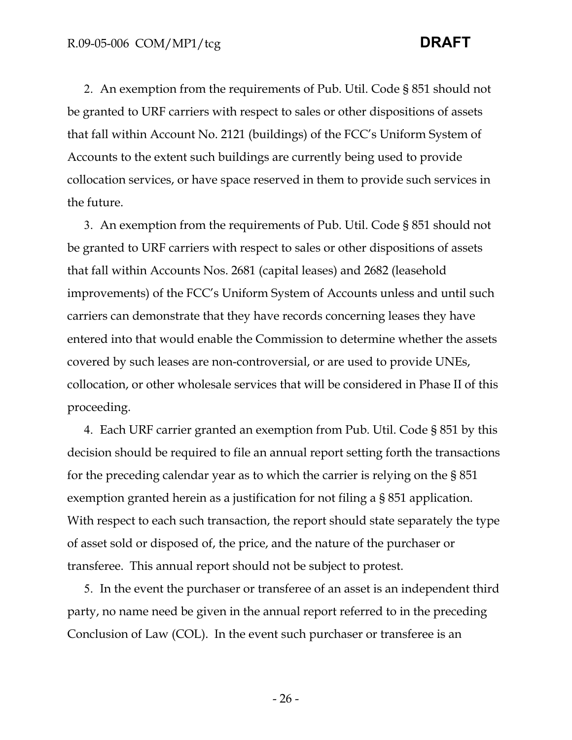2. An exemption from the requirements of Pub. Util. Code § 851 should not be granted to URF carriers with respect to sales or other dispositions of assets that fall within Account No. 2121 (buildings) of the FCC's Uniform System of Accounts to the extent such buildings are currently being used to provide collocation services, or have space reserved in them to provide such services in the future.

3. An exemption from the requirements of Pub. Util. Code § 851 should not be granted to URF carriers with respect to sales or other dispositions of assets that fall within Accounts Nos. 2681 (capital leases) and 2682 (leasehold improvements) of the FCC's Uniform System of Accounts unless and until such carriers can demonstrate that they have records concerning leases they have entered into that would enable the Commission to determine whether the assets covered by such leases are non-controversial, or are used to provide UNEs, collocation, or other wholesale services that will be considered in Phase II of this proceeding.

4. Each URF carrier granted an exemption from Pub. Util. Code § 851 by this decision should be required to file an annual report setting forth the transactions for the preceding calendar year as to which the carrier is relying on the § 851 exemption granted herein as a justification for not filing a § 851 application. With respect to each such transaction, the report should state separately the type of asset sold or disposed of, the price, and the nature of the purchaser or transferee. This annual report should not be subject to protest.

5. In the event the purchaser or transferee of an asset is an independent third party, no name need be given in the annual report referred to in the preceding Conclusion of Law (COL). In the event such purchaser or transferee is an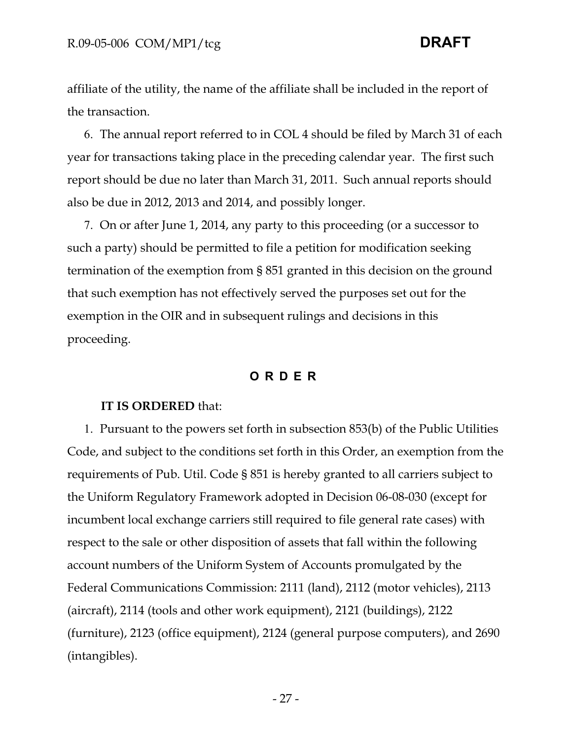affiliate of the utility, the name of the affiliate shall be included in the report of the transaction.

6. The annual report referred to in COL 4 should be filed by March 31 of each year for transactions taking place in the preceding calendar year. The first such report should be due no later than March 31, 2011. Such annual reports should also be due in 2012, 2013 and 2014, and possibly longer.

7. On or after June 1, 2014, any party to this proceeding (or a successor to such a party) should be permitted to file a petition for modification seeking termination of the exemption from § 851 granted in this decision on the ground that such exemption has not effectively served the purposes set out for the exemption in the OIR and in subsequent rulings and decisions in this proceeding.

## **ORDER**

### **IT IS ORDERED** that:

1. Pursuant to the powers set forth in subsection 853(b) of the Public Utilities Code, and subject to the conditions set forth in this Order, an exemption from the requirements of Pub. Util. Code § 851 is hereby granted to all carriers subject to the Uniform Regulatory Framework adopted in Decision 06-08-030 (except for incumbent local exchange carriers still required to file general rate cases) with respect to the sale or other disposition of assets that fall within the following account numbers of the Uniform System of Accounts promulgated by the Federal Communications Commission: 2111 (land), 2112 (motor vehicles), 2113 (aircraft), 2114 (tools and other work equipment), 2121 (buildings), 2122 (furniture), 2123 (office equipment), 2124 (general purpose computers), and 2690 (intangibles).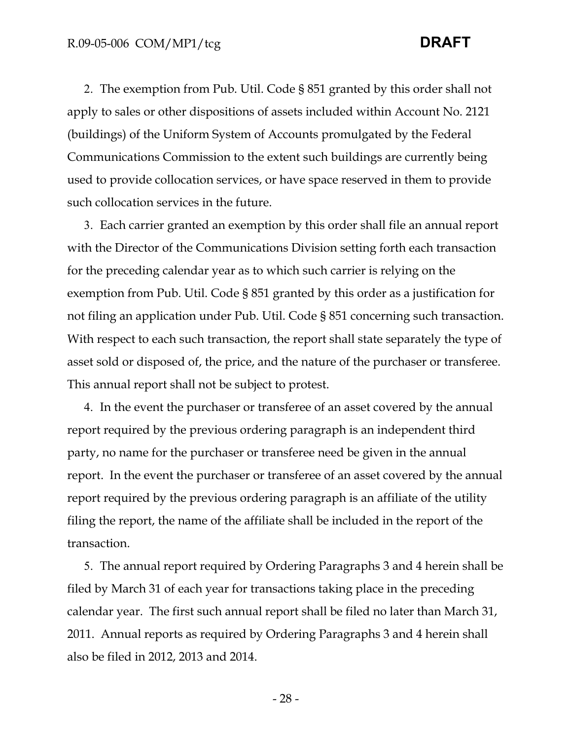2. The exemption from Pub. Util. Code § 851 granted by this order shall not apply to sales or other dispositions of assets included within Account No. 2121 (buildings) of the Uniform System of Accounts promulgated by the Federal Communications Commission to the extent such buildings are currently being used to provide collocation services, or have space reserved in them to provide such collocation services in the future.

3. Each carrier granted an exemption by this order shall file an annual report with the Director of the Communications Division setting forth each transaction for the preceding calendar year as to which such carrier is relying on the exemption from Pub. Util. Code § 851 granted by this order as a justification for not filing an application under Pub. Util. Code § 851 concerning such transaction. With respect to each such transaction, the report shall state separately the type of asset sold or disposed of, the price, and the nature of the purchaser or transferee. This annual report shall not be subject to protest.

4. In the event the purchaser or transferee of an asset covered by the annual report required by the previous ordering paragraph is an independent third party, no name for the purchaser or transferee need be given in the annual report. In the event the purchaser or transferee of an asset covered by the annual report required by the previous ordering paragraph is an affiliate of the utility filing the report, the name of the affiliate shall be included in the report of the transaction.

5. The annual report required by Ordering Paragraphs 3 and 4 herein shall be filed by March 31 of each year for transactions taking place in the preceding calendar year. The first such annual report shall be filed no later than March 31, 2011. Annual reports as required by Ordering Paragraphs 3 and 4 herein shall also be filed in 2012, 2013 and 2014.

- 28 -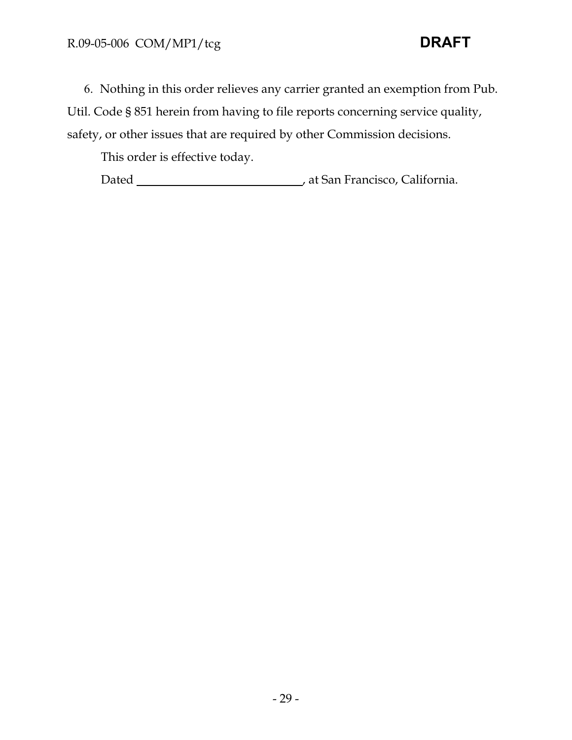6. Nothing in this order relieves any carrier granted an exemption from Pub. Util. Code § 851 herein from having to file reports concerning service quality, safety, or other issues that are required by other Commission decisions.

This order is effective today.

Dated , at San Francisco, California.